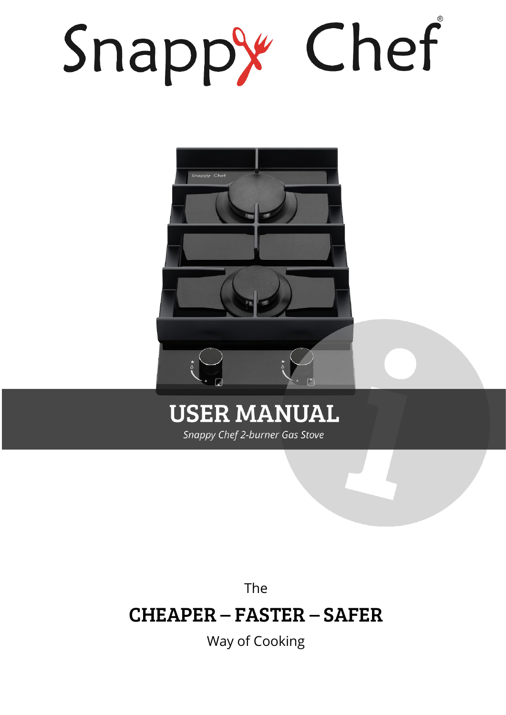# Snappy Chef



# **USER MANUAL** Snappy Chef 2-burner Gas Stove

The

# CHEAPER – FASTER – SAFER

Way of Cooking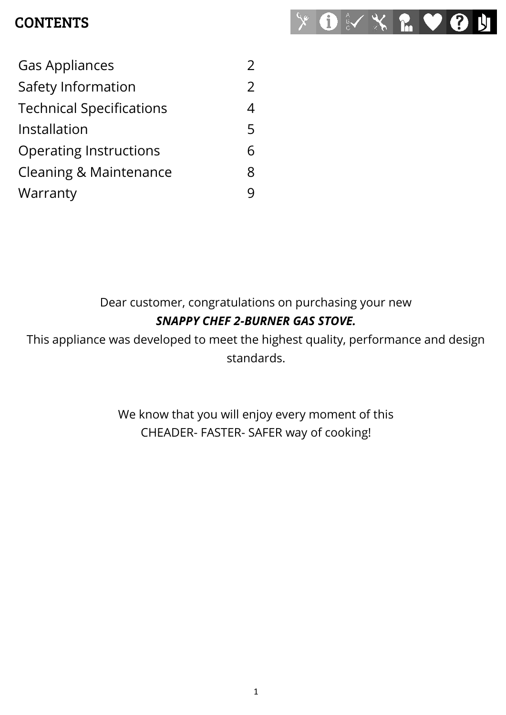#### **CONTENTS**



| <b>Gas Appliances</b>           |               |
|---------------------------------|---------------|
| Safety Information              | $\mathcal{P}$ |
| <b>Technical Specifications</b> | 4             |
| Installation                    | 5             |
| <b>Operating Instructions</b>   |               |
| Cleaning & Maintenance          | 8             |
| Warranty                        |               |

#### Dear customer, congratulations on purchasing your new *SNAPPY CHEF 2-BURNER GAS STOVE.*

This appliance was developed to meet the highest quality, performance and design standards.

> We know that you will enjoy every moment of this CHEADER- FASTER- SAFER way of cooking!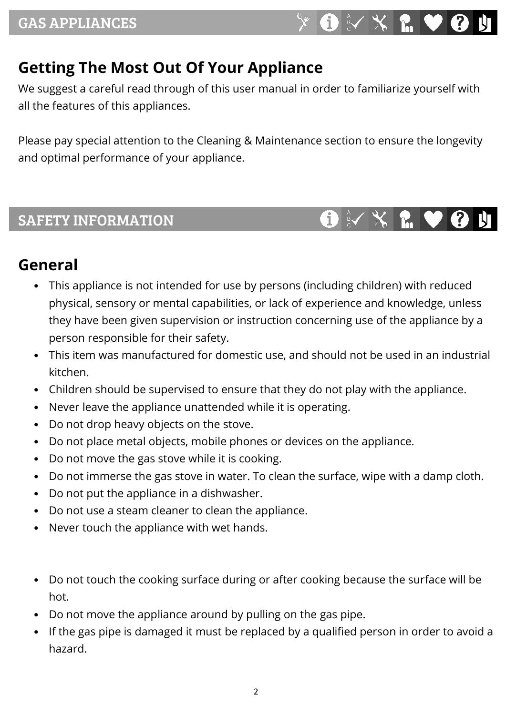# <span id="page-2-0"></span>**Getting The Most Out Of Your Appliance**

We suggest a careful read through of this user manual in order to familiarize yourself with all the features of this appliances.

Please pay special attention to the Cleaning & Maintenance section to ensure the longevity and optimal performance of your appliance.

#### <span id="page-2-1"></span>SAFETY INFORMATION

# 

#### **General**

- This appliance is not intended for use by persons (including children) with reduced physical, sensory or mental capabilities, or lack of experience and knowledge, unless they have been given supervision or instruction concerning use of the appliance by a person responsible for their safety.
- This item was manufactured for domestic use, and should not be used in an industrial kitchen.
- Children should be supervised to ensure that they do not play with the appliance.
- Never leave the appliance unattended while it is operating.
- Do not drop heavy objects on the stove.
- Do not place metal objects, mobile phones or devices on the appliance.
- Do not move the gas stove while it is cooking.
- Do not immerse the gas stove in water. To clean the surface, wipe with a damp cloth.
- Do not put the appliance in a dishwasher.
- Do not use a steam cleaner to clean the appliance.
- Never touch the appliance with wet hands.
- Do not touch the cooking surface during or after cooking because the surface will be hot.
- Do not move the appliance around by pulling on the gas pipe.
- If the gas pipe is damaged it must be replaced by a qualified person in order to avoid a hazard.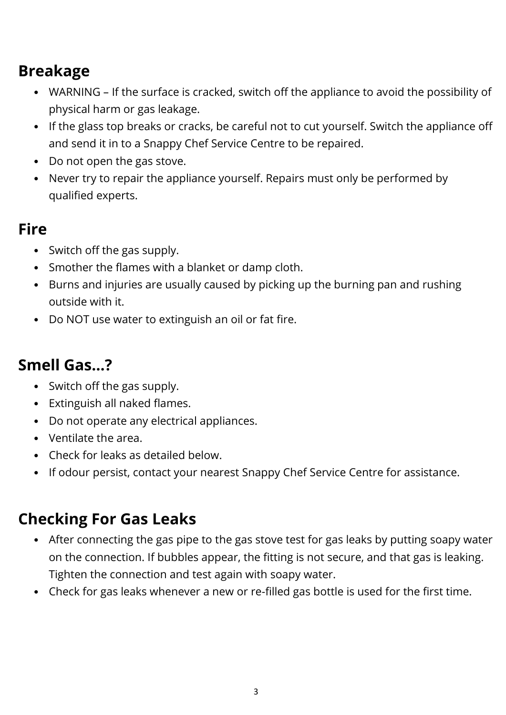# **Breakage**

- WARNING If the surface is cracked, switch off the appliance to avoid the possibility of physical harm or gas leakage.
- If the glass top breaks or cracks, be careful not to cut yourself. Switch the appliance off and send it in to a Snappy Chef Service Centre to be repaired.
- Do not open the gas stove.
- Never try to repair the appliance yourself. Repairs must only be performed by qualified experts.

#### **Fire**

- Switch off the gas supply.
- Smother the flames with a blanket or damp cloth.
- Burns and injuries are usually caused by picking up the burning pan and rushing outside with it.
- Do NOT use water to extinguish an oil or fat fire.

### **Smell Gas…?**

- Switch off the gas supply.
- Extinguish all naked flames.
- Do not operate any electrical appliances.
- Ventilate the area.
- Check for leaks as detailed below.
- If odour persist, contact your nearest Snappy Chef Service Centre for assistance.

# **Checking For Gas Leaks**

- After connecting the gas pipe to the gas stove test for gas leaks by putting soapy water on the connection. If bubbles appear, the fitting is not secure, and that gas is leaking. Tighten the connection and test again with soapy water.
- Check for gas leaks whenever a new or re-filled gas bottle is used for the first time.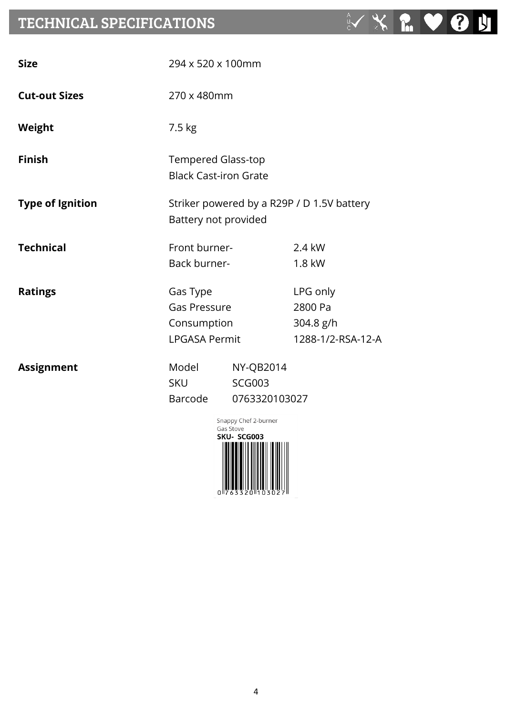#### <span id="page-4-0"></span>TECHNICAL SPECIFICATIONS

| <b>Size</b>             | 294 x 520 x 100mm                                                  |                                                    |                                                       |
|-------------------------|--------------------------------------------------------------------|----------------------------------------------------|-------------------------------------------------------|
| <b>Cut-out Sizes</b>    | 270 x 480mm                                                        |                                                    |                                                       |
| <b>Weight</b>           | 7.5 kg                                                             |                                                    |                                                       |
| <b>Finish</b>           | <b>Tempered Glass-top</b><br><b>Black Cast-iron Grate</b>          |                                                    |                                                       |
| <b>Type of Ignition</b> | Striker powered by a R29P / D 1.5V battery<br>Battery not provided |                                                    |                                                       |
| <b>Technical</b>        | Front burner-<br>Back burner-                                      |                                                    | 2.4 kW<br>1.8 kW                                      |
| <b>Ratings</b>          | Gas Type<br>Gas Pressure<br>Consumption<br><b>LPGASA Permit</b>    |                                                    | LPG only<br>2800 Pa<br>304.8 g/h<br>1288-1/2-RSA-12-A |
| <b>Assignment</b>       | Model<br><b>SKU</b><br>Barcode                                     | <b>NY-QB2014</b><br><b>SCG003</b><br>0763320103027 |                                                       |



 $\overrightarrow{B}$ 

 $X$ 

**POST**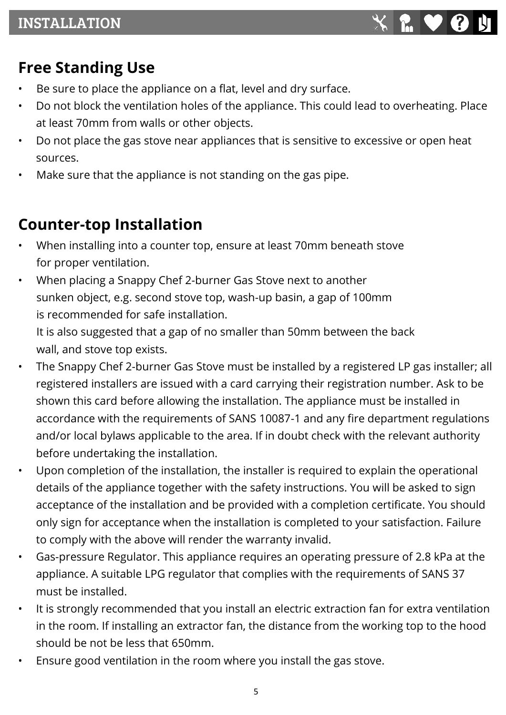# <span id="page-5-0"></span>**Free Standing Use**

- Be sure to place the appliance on a flat, level and dry surface.
- Do not block the ventilation holes of the appliance. This could lead to overheating. Place at least 70mm from walls or other objects.
- Do not place the gas stove near appliances that is sensitive to excessive or open heat sources.
- Make sure that the appliance is not standing on the gas pipe.

# **Counter-top Installation**

- When installing into a counter top, ensure at least 70mm beneath stove for proper ventilation.
- When placing a Snappy Chef 2-burner Gas Stove next to another sunken object, e.g. second stove top, wash-up basin, a gap of 100mm is recommended for safe installation.

It is also suggested that a gap of no smaller than 50mm between the back wall, and stove top exists.

- The Snappy Chef 2-burner Gas Stove must be installed by a registered LP gas installer; all registered installers are issued with a card carrying their registration number. Ask to be shown this card before allowing the installation. The appliance must be installed in accordance with the requirements of SANS 10087-1 and any fire department regulations and/or local bylaws applicable to the area. If in doubt check with the relevant authority before undertaking the installation.
- Upon completion of the installation, the installer is required to explain the operational details of the appliance together with the safety instructions. You will be asked to sign acceptance of the installation and be provided with a completion certificate. You should only sign for acceptance when the installation is completed to your satisfaction. Failure to comply with the above will render the warranty invalid.
- Gas-pressure Regulator. This appliance requires an operating pressure of 2.8 kPa at the appliance. A suitable LPG regulator that complies with the requirements of SANS 37 must be installed.
- It is strongly recommended that you install an electric extraction fan for extra ventilation in the room. If installing an extractor fan, the distance from the working top to the hood should be not be less that 650mm.
- Ensure good ventilation in the room where you install the gas stove.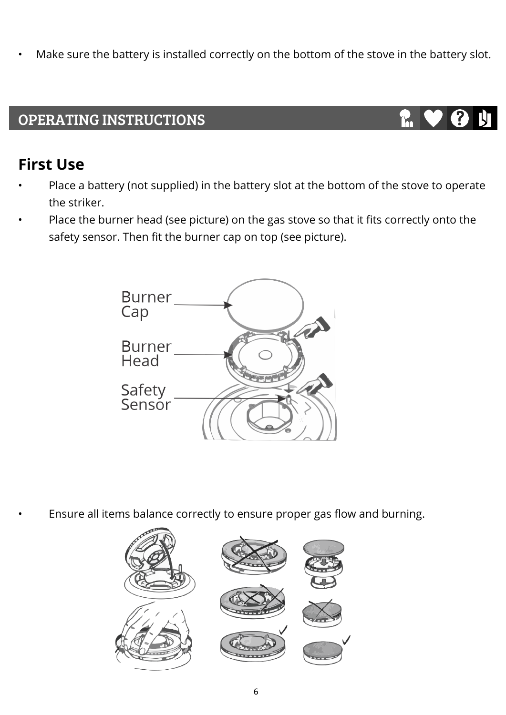Make sure the battery is installed correctly on the bottom of the stove in the battery slot.

#### <span id="page-6-0"></span>OPERATING INSTRUCTIONS

#### **First Use**

- Place a battery (not supplied) in the battery slot at the bottom of the stove to operate the striker.
- Place the burner head (see picture) on the gas stove so that it fits correctly onto the safety sensor. Then fit the burner cap on top (see picture).



• Ensure all items balance correctly to ensure proper gas flow and burning.

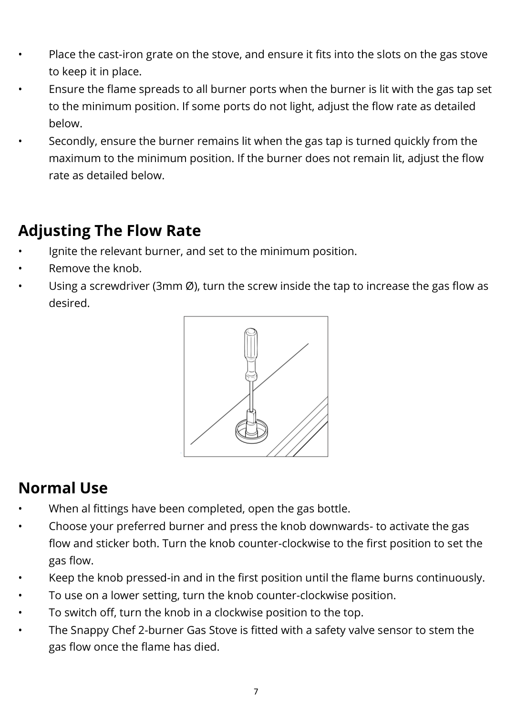- Place the cast-iron grate on the stove, and ensure it fits into the slots on the gas stove to keep it in place.
- Ensure the flame spreads to all burner ports when the burner is lit with the gas tap set to the minimum position. If some ports do not light, adjust the flow rate as detailed below.
- Secondly, ensure the burner remains lit when the gas tap is turned quickly from the maximum to the minimum position. If the burner does not remain lit, adjust the flow rate as detailed below.

# **Adjusting The Flow Rate**

- Ignite the relevant burner, and set to the minimum position.
- Remove the knob.
- Using a screwdriver (3mm  $\varnothing$ ), turn the screw inside the tap to increase the gas flow as desired.



# **Normal Use**

- When al fittings have been completed, open the gas bottle.
- Choose your preferred burner and press the knob downwards- to activate the gas flow and sticker both. Turn the knob counter-clockwise to the first position to set the gas flow.
- Keep the knob pressed-in and in the first position until the flame burns continuously.
- To use on a lower setting, turn the knob counter-clockwise position.
- To switch off, turn the knob in a clockwise position to the top.
- The Snappy Chef 2-burner Gas Stove is fitted with a safety valve sensor to stem the gas flow once the flame has died.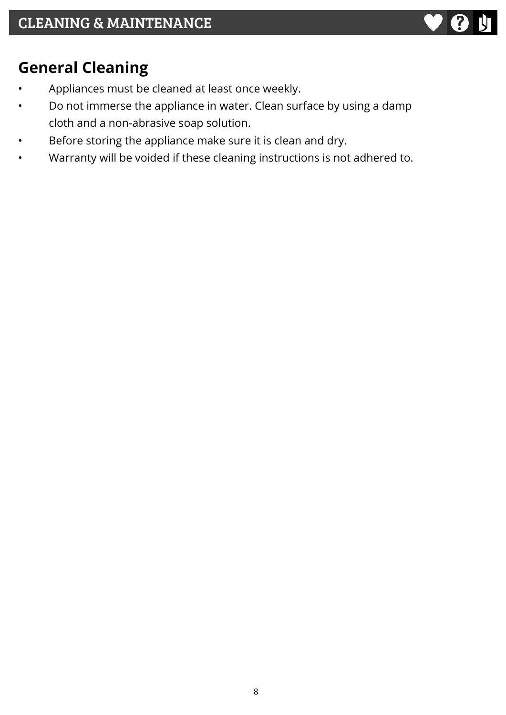

# <span id="page-8-0"></span>**General Cleaning**

- Appliances must be cleaned at least once weekly.
- Do not immerse the appliance in water. Clean surface by using a damp cloth and a non-abrasive soap solution.
- Before storing the appliance make sure it is clean and dry.
- Warranty will be voided if these cleaning instructions is not adhered to.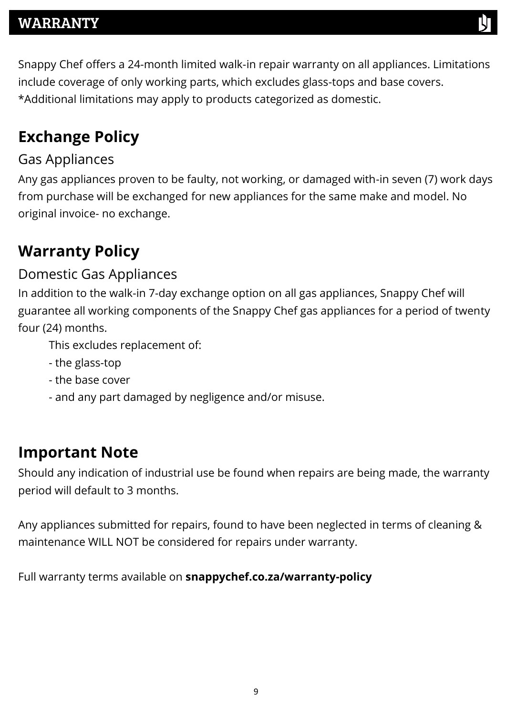#### <span id="page-9-0"></span>WARRANTY

Snappy Chef offers a 24-month limited walk-in repair warranty on all appliances. Limitations include coverage of only working parts, which excludes glass-tops and base covers. \*Additional limitations may apply to products categorized as domestic.

# **Exchange Policy**

#### Gas Appliances

Any gas appliances proven to be faulty, not working, or damaged with-in seven (7) work days from purchase will be exchanged for new appliances for the same make and model. No original invoice- no exchange.

# **Warranty Policy**

#### Domestic Gas Appliances

In addition to the walk-in 7-day exchange option on all gas appliances, Snappy Chef will guarantee all working components of the Snappy Chef gas appliances for a period of twenty four (24) months.

This excludes replacement of:

- the glass-top
- the base cover
- and any part damaged by negligence and/or misuse.

#### **Important Note**

Should any indication of industrial use be found when repairs are being made, the warranty period will default to 3 months.

Any appliances submitted for repairs, found to have been neglected in terms of cleaning & maintenance WILL NOT be considered for repairs under warranty.

Full warranty terms available on **snappychef.co.za/warranty-policy**